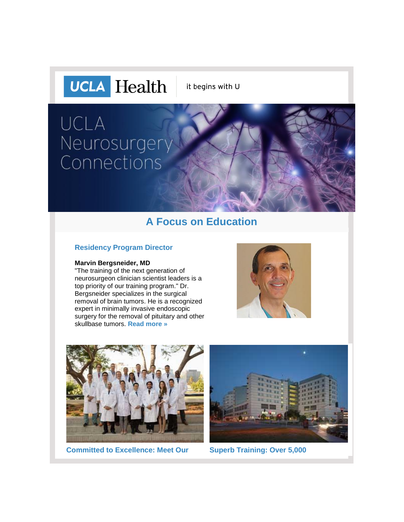

it begins with U

# **UCLA** Neurosurgery Connections

### **A Focus on Education**

#### **Residency Program Director**

#### **Marvin Bergsneider, MD**

"The training of the next generation of neurosurgeon clinician scientist leaders is a top priority of our training program." Dr. Bergsneider specializes in the surgical removal of brain tumors. He is a recognized expert in minimally invasive endoscopic surgery for the removal of pituitary and other skullbase tumors. **[Read more »](http://r20.rs6.net/tn.jsp?f=001NW-DxpRWZ2Ce71cmFmnPFqh8AuROREm1Oagfpn_MFKHFMg_8sXfw-B-Mr6lW5ECGczbzSYz44dpSVMPdvAIryyAszSIqbcXfz04HcKKxOu6mxypyDztdPtoi5UrzuXUa7TugLuWGOjhNJGaoc79WJ2be5847NBGShQsKwqfoEhhl3wjUicemB-8Xs4RBY2tbmKY6rwGkG1o=&c=7_njRtPFRb19F0sdxQ5PNTS_zAvLyZU6lCedHSWBPdNAYjcb3gRD1Q==&ch=Hpfl7S3bviRUaMbS2WQl0j4DzFyuMm-0n5XVY2es8szJlnJEOAlUpw==)**





**[Committed to Excellence: Meet Our](http://r20.rs6.net/tn.jsp?f=001NW-DxpRWZ2Ce71cmFmnPFqh8AuROREm1Oagfpn_MFKHFMg_8sXfw-Bts6mNWNnQxkwuEjQb1NtE8sDTg19RBSIwiAI5mx3Ea-CkIyMa64fAun2F15tl6kzfj9H2_Dh6PYrwtznqS8LNnQj9DkCa_nN2JU_zSHlZHH_4bfntdbETIxFDeL5iI60B-bMk4xkr2FG1NX9a6n4A=&c=7_njRtPFRb19F0sdxQ5PNTS_zAvLyZU6lCedHSWBPdNAYjcb3gRD1Q==&ch=Hpfl7S3bviRUaMbS2WQl0j4DzFyuMm-0n5XVY2es8szJlnJEOAlUpw==) [Superb Training: Over 5,000](http://r20.rs6.net/tn.jsp?f=001NW-DxpRWZ2Ce71cmFmnPFqh8AuROREm1Oagfpn_MFKHFMg_8sXfw-B-Mr6lW5ECGum67iTgqSStsI1B4OsQyX4dgV-CpCgYFLkNglIgrbZeHm7l1pqupzyXjrNImb2_74dArZa1MK2rzOVm8ZaL0X41tKrIKuZW3Ew8CU97oN1fRglk-bSygX0hjXu_j79dfHeAve9Nj8oY=&c=7_njRtPFRb19F0sdxQ5PNTS_zAvLyZU6lCedHSWBPdNAYjcb3gRD1Q==&ch=Hpfl7S3bviRUaMbS2WQl0j4DzFyuMm-0n5XVY2es8szJlnJEOAlUpw==)** 

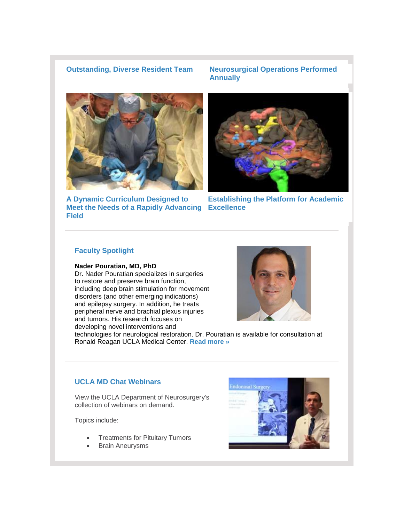#### **[Outstanding, Diverse Resident Team](http://r20.rs6.net/tn.jsp?f=001NW-DxpRWZ2Ce71cmFmnPFqh8AuROREm1Oagfpn_MFKHFMg_8sXfw-Bts6mNWNnQxkwuEjQb1NtE8sDTg19RBSIwiAI5mx3Ea-CkIyMa64fAun2F15tl6kzfj9H2_Dh6PYrwtznqS8LNnQj9DkCa_nN2JU_zSHlZHH_4bfntdbETIxFDeL5iI60B-bMk4xkr2FG1NX9a6n4A=&c=7_njRtPFRb19F0sdxQ5PNTS_zAvLyZU6lCedHSWBPdNAYjcb3gRD1Q==&ch=Hpfl7S3bviRUaMbS2WQl0j4DzFyuMm-0n5XVY2es8szJlnJEOAlUpw==) [Neurosurgical Operations Performed](http://r20.rs6.net/tn.jsp?f=001NW-DxpRWZ2Ce71cmFmnPFqh8AuROREm1Oagfpn_MFKHFMg_8sXfw-B-Mr6lW5ECGum67iTgqSStsI1B4OsQyX4dgV-CpCgYFLkNglIgrbZeHm7l1pqupzyXjrNImb2_74dArZa1MK2rzOVm8ZaL0X41tKrIKuZW3Ew8CU97oN1fRglk-bSygX0hjXu_j79dfHeAve9Nj8oY=&c=7_njRtPFRb19F0sdxQ5PNTS_zAvLyZU6lCedHSWBPdNAYjcb3gRD1Q==&ch=Hpfl7S3bviRUaMbS2WQl0j4DzFyuMm-0n5XVY2es8szJlnJEOAlUpw==)  [Annually](http://r20.rs6.net/tn.jsp?f=001NW-DxpRWZ2Ce71cmFmnPFqh8AuROREm1Oagfpn_MFKHFMg_8sXfw-B-Mr6lW5ECGum67iTgqSStsI1B4OsQyX4dgV-CpCgYFLkNglIgrbZeHm7l1pqupzyXjrNImb2_74dArZa1MK2rzOVm8ZaL0X41tKrIKuZW3Ew8CU97oN1fRglk-bSygX0hjXu_j79dfHeAve9Nj8oY=&c=7_njRtPFRb19F0sdxQ5PNTS_zAvLyZU6lCedHSWBPdNAYjcb3gRD1Q==&ch=Hpfl7S3bviRUaMbS2WQl0j4DzFyuMm-0n5XVY2es8szJlnJEOAlUpw==)**



**[A Dynamic Curriculum Designed to](http://r20.rs6.net/tn.jsp?f=001NW-DxpRWZ2Ce71cmFmnPFqh8AuROREm1Oagfpn_MFKHFMg_8sXfw-B-Mr6lW5ECG2ty3Q0FRNkC2aN8Im_5IdQNs8Kfg7y634rzAjij-3Mbge9UOiRwZG5qY2IU4MARGSMFwDL_4Hwr7OidKN-fwjuhjANAxwrr8mN-eDHCt5f0gRkQw5yKhSAqZ4fQLheGdENSgCS9zFws=&c=7_njRtPFRb19F0sdxQ5PNTS_zAvLyZU6lCedHSWBPdNAYjcb3gRD1Q==&ch=Hpfl7S3bviRUaMbS2WQl0j4DzFyuMm-0n5XVY2es8szJlnJEOAlUpw==)  [Meet the Needs of a Rapidly Advancing](http://r20.rs6.net/tn.jsp?f=001NW-DxpRWZ2Ce71cmFmnPFqh8AuROREm1Oagfpn_MFKHFMg_8sXfw-B-Mr6lW5ECG2ty3Q0FRNkC2aN8Im_5IdQNs8Kfg7y634rzAjij-3Mbge9UOiRwZG5qY2IU4MARGSMFwDL_4Hwr7OidKN-fwjuhjANAxwrr8mN-eDHCt5f0gRkQw5yKhSAqZ4fQLheGdENSgCS9zFws=&c=7_njRtPFRb19F0sdxQ5PNTS_zAvLyZU6lCedHSWBPdNAYjcb3gRD1Q==&ch=Hpfl7S3bviRUaMbS2WQl0j4DzFyuMm-0n5XVY2es8szJlnJEOAlUpw==)  [Excellence](http://r20.rs6.net/tn.jsp?f=001NW-DxpRWZ2Ce71cmFmnPFqh8AuROREm1Oagfpn_MFKHFMg_8sXfw-B-Mr6lW5ECGEC4Zuwf3aGcvubqXCZcy2mnkogdhOJ-fcYJ_OEGhw88ISlJmPyejdfuVPncZyB2yhcj73KYQ5N8whDVx1vIxtNOwGX2SAOxbpMc1qAF29JD2ggi3bsDA09nO3x0DksFs&c=7_njRtPFRb19F0sdxQ5PNTS_zAvLyZU6lCedHSWBPdNAYjcb3gRD1Q==&ch=Hpfl7S3bviRUaMbS2WQl0j4DzFyuMm-0n5XVY2es8szJlnJEOAlUpw==) [Field](http://r20.rs6.net/tn.jsp?f=001NW-DxpRWZ2Ce71cmFmnPFqh8AuROREm1Oagfpn_MFKHFMg_8sXfw-B-Mr6lW5ECG2ty3Q0FRNkC2aN8Im_5IdQNs8Kfg7y634rzAjij-3Mbge9UOiRwZG5qY2IU4MARGSMFwDL_4Hwr7OidKN-fwjuhjANAxwrr8mN-eDHCt5f0gRkQw5yKhSAqZ4fQLheGdENSgCS9zFws=&c=7_njRtPFRb19F0sdxQ5PNTS_zAvLyZU6lCedHSWBPdNAYjcb3gRD1Q==&ch=Hpfl7S3bviRUaMbS2WQl0j4DzFyuMm-0n5XVY2es8szJlnJEOAlUpw==)**



**[Establishing the Platform for Academic](http://r20.rs6.net/tn.jsp?f=001NW-DxpRWZ2Ce71cmFmnPFqh8AuROREm1Oagfpn_MFKHFMg_8sXfw-B-Mr6lW5ECGEC4Zuwf3aGcvubqXCZcy2mnkogdhOJ-fcYJ_OEGhw88ISlJmPyejdfuVPncZyB2yhcj73KYQ5N8whDVx1vIxtNOwGX2SAOxbpMc1qAF29JD2ggi3bsDA09nO3x0DksFs&c=7_njRtPFRb19F0sdxQ5PNTS_zAvLyZU6lCedHSWBPdNAYjcb3gRD1Q==&ch=Hpfl7S3bviRUaMbS2WQl0j4DzFyuMm-0n5XVY2es8szJlnJEOAlUpw==)** 

#### **Faculty Spotlight**

#### **Nader Pouratian, MD, PhD**

Dr. Nader Pouratian specializes in surgeries to restore and preserve brain function, including deep brain stimulation for movement disorders (and other emerging indications) and epilepsy surgery. In addition, he treats peripheral nerve and brachial plexus injuries and tumors. His research focuses on developing novel interventions and



technologies for neurological restoration. Dr. Pouratian is available for consultation at Ronald Reagan UCLA Medical Center. **[Read more »](http://r20.rs6.net/tn.jsp?f=001NW-DxpRWZ2Ce71cmFmnPFqh8AuROREm1Oagfpn_MFKHFMg_8sXfw-ArXWqd_kl4dUhahP0VYvuCp88a5d4LKtBXeVF5fzjkHOOeq4Cdf-XwyBZRqTuPDRLPF75_umWFk0SIhRBzDAEHEa6Q-DM6_BoJKA0Gi9qREbCPEmv9sDA7Xz36azs1X2nwesRqLDlx7amzc3ofxD6Q=&c=7_njRtPFRb19F0sdxQ5PNTS_zAvLyZU6lCedHSWBPdNAYjcb3gRD1Q==&ch=Hpfl7S3bviRUaMbS2WQl0j4DzFyuMm-0n5XVY2es8szJlnJEOAlUpw==)**

#### **UCLA MD Chat Webinars**

View the UCLA Department of Neurosurgery's collection of webinars on demand.

Topics include:

- Treatments for Pituitary Tumors
- Brain Aneurysms